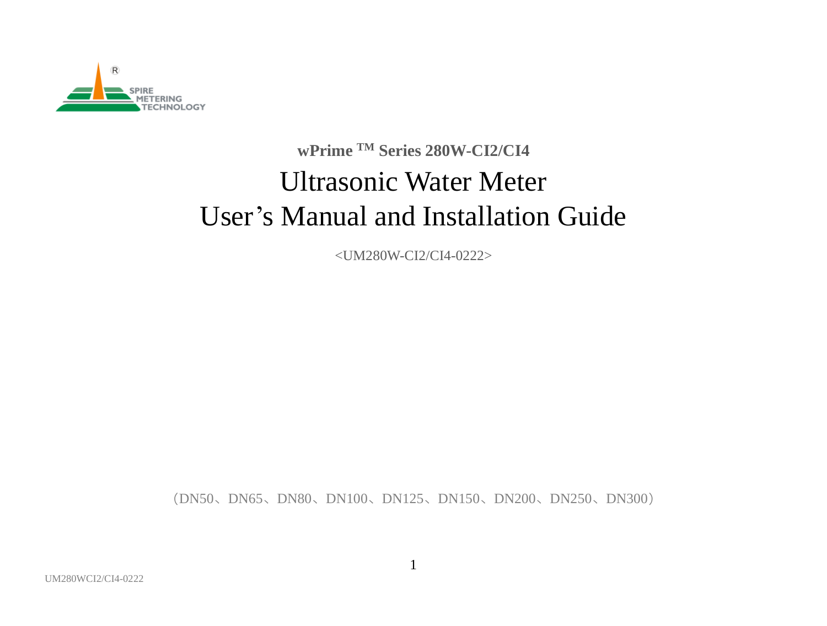

# **wPrime TM Series 280W-CI2/CI4** Ultrasonic Water Meter User's Manual and Installation Guide

<UM280W-CI2/CI4-0222>

(DN50、DN65、DN80、DN100、DN125、DN150、DN200、DN250、DN300)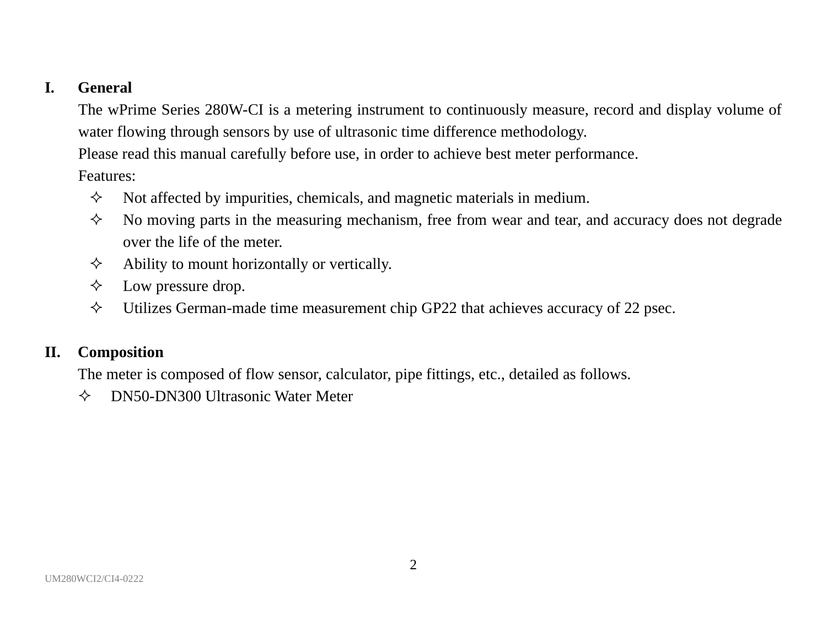### **I. General**

The wPrime Series 280W-CI is a metering instrument to continuously measure, record and display volume of water flowing through sensors by use of ultrasonic time difference methodology.

Please read this manual carefully before use, in order to achieve best meter performance.

Features:

- $\Diamond$  Not affected by impurities, chemicals, and magnetic materials in medium.
- $\Diamond$  No moving parts in the measuring mechanism, free from wear and tear, and accuracy does not degrade over the life of the meter.
- $\Diamond$  Ability to mount horizontally or vertically.
- $\Diamond$  Low pressure drop.
- $\Diamond$  Utilizes German-made time measurement chip GP22 that achieves accuracy of 22 psec.

### **II. Composition**

The meter is composed of flow sensor, calculator, pipe fittings, etc., detailed as follows.

DN50-DN300 Ultrasonic Water Meter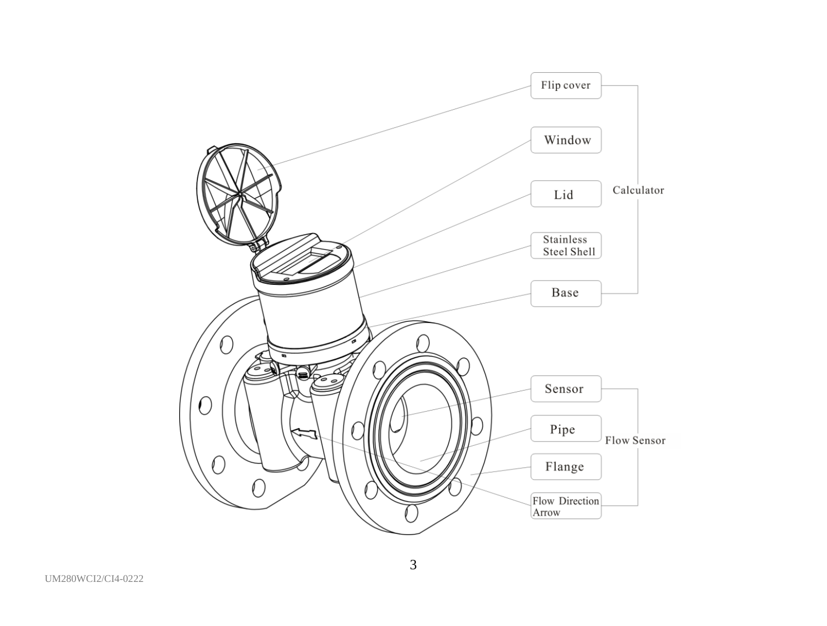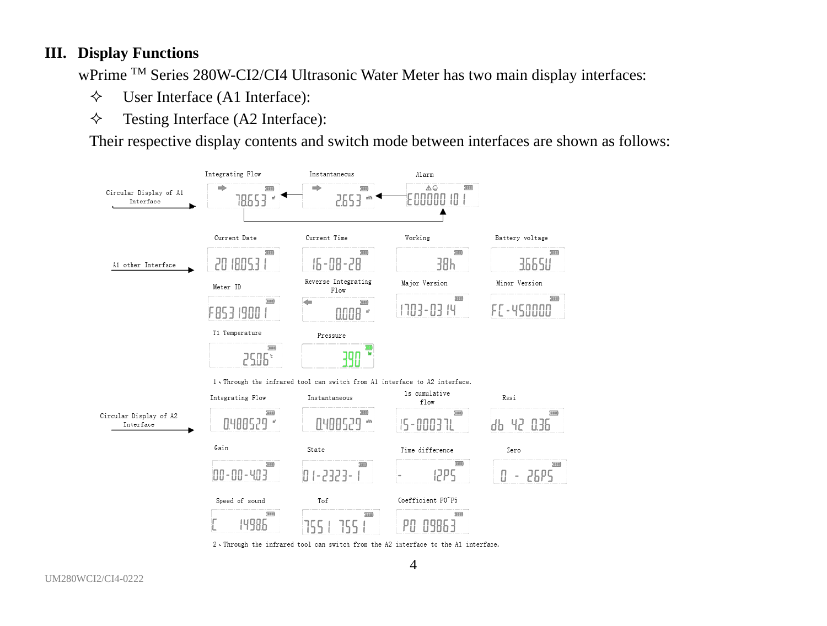#### **III. Display Functions**

wPrime TM Series 280W-CI2/CI4 Ultrasonic Water Meter has two main display interfaces:

- User Interface (A1 Interface):
- $\diamond$  Testing Interface (A2 Interface):

Their respective display contents and switch mode between interfaces are shown as follows:

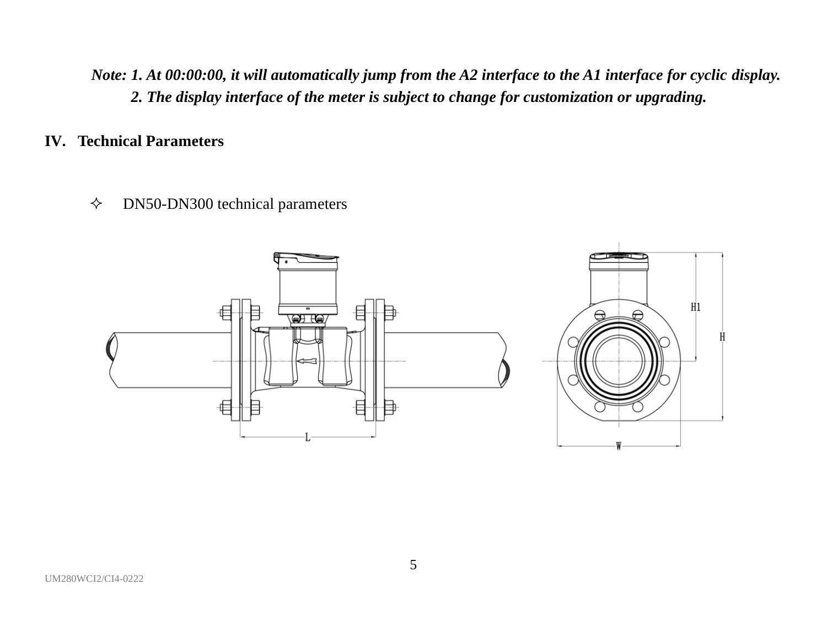*Note: 1. At 00:00:00, it will automatically jump from the A2 interface to the A1 interface for cyclic display. 2. The display interface of the meter is subject to change for customization or upgrading.*

- **IV. Technical Parameters**
	- $\diamond$  DN50-DN300 technical parameters

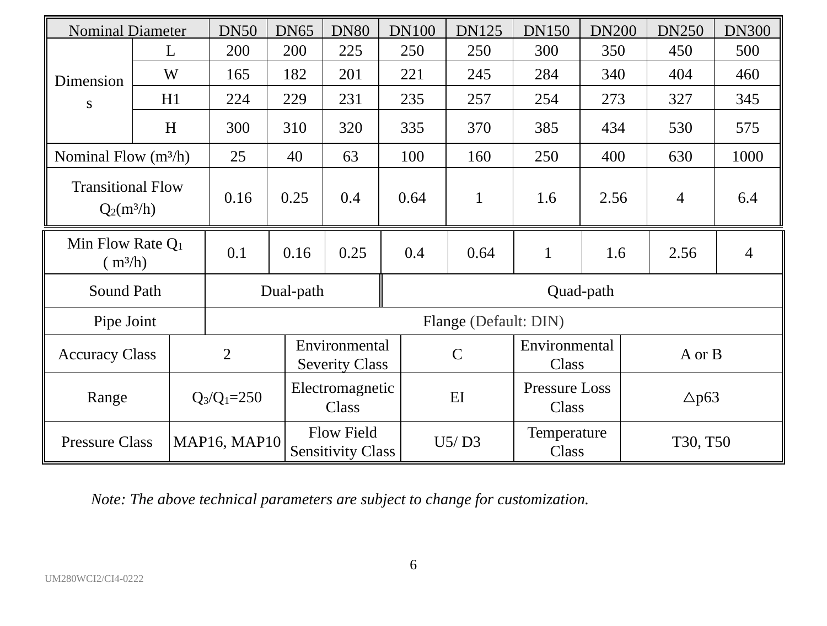| <b>Nominal Diameter</b>                  |    |                 | <b>DN50</b>                            | <b>DN65</b>              | <b>DN80</b>                            | <b>DN100</b> | <b>DN125</b>           | <b>DN150</b>                  | <b>DN200</b> | <b>DN250</b> | <b>DN300</b> |  |
|------------------------------------------|----|-----------------|----------------------------------------|--------------------------|----------------------------------------|--------------|------------------------|-------------------------------|--------------|--------------|--------------|--|
|                                          | L  |                 | 200                                    | 200                      | 225                                    | 250          | 250                    | 300                           | 350          | 450          | 500          |  |
| Dimension                                | W  |                 | 165                                    | 182                      | 201                                    | 221          | 245                    | 284                           | 340          | 404          | 460          |  |
| S                                        | H1 |                 | 224                                    | 229                      | 231                                    | 235          | 257                    | 254                           | 273          | 327          | 345          |  |
|                                          | H  |                 | 300                                    | 310                      | 320                                    | 335          | 370                    | 385                           | 434          | 530          | 575          |  |
| Nominal Flow (m <sup>3</sup> /h)         |    |                 | 25                                     | 40                       | 63                                     | 100          | 160                    | 250                           | 400          | 630          | 1000         |  |
| <b>Transitional Flow</b><br>$Q_2(m^3/h)$ |    |                 | 0.16                                   | 0.25                     | 0.4                                    | 0.64         | 1                      | 1.6                           | 2.56         | 4            | 6.4          |  |
| Min Flow Rate $Q_1$<br>$(m^3/h)$         |    |                 | 0.1                                    | 0.16                     | 0.25                                   | 0.4          | 0.64                   | 1                             | 1.6          | 2.56         | 4            |  |
| Sound Path                               |    |                 |                                        | Dual-path                |                                        |              | Quad-path              |                               |              |              |              |  |
| Pipe Joint                               |    |                 |                                        |                          | Flange (Default: DIN)                  |              |                        |                               |              |              |              |  |
| $\overline{2}$<br><b>Accuracy Class</b>  |    |                 | Environmental<br><b>Severity Class</b> |                          | $\mathcal{C}$                          |              | Environmental<br>Class | A or B                        |              |              |              |  |
| Range                                    |    | $Q_3/Q_1 = 250$ |                                        | Electromagnetic<br>Class |                                        | $E$ I        |                        | <b>Pressure Loss</b><br>Class | $\Delta p63$ |              |              |  |
| <b>Pressure Class</b>                    |    |                 | <b>MAP16, MAP10</b>                    |                          | Flow Field<br><b>Sensitivity Class</b> |              | U5/D3                  | Temperature<br>Class          |              | T30, T50     |              |  |

*Note: The above technical parameters are subject to change for customization.*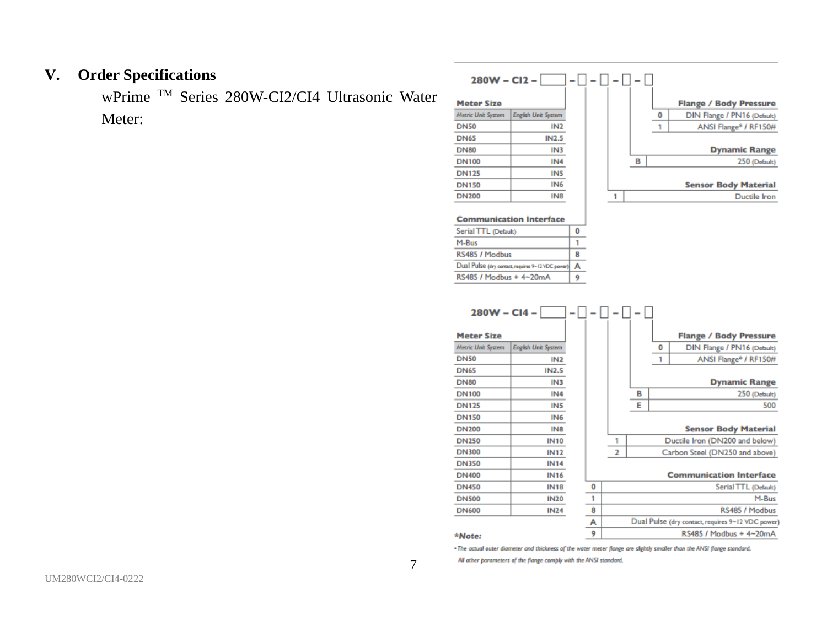## **V. Order Specifications**

wPrime TM Series 280W-CI2/CI4 Ultrasonic Water Meter:

| $280W - C12 -$                      |                                                   |   |   |   |   |                               |
|-------------------------------------|---------------------------------------------------|---|---|---|---|-------------------------------|
| <b>Meter Size</b>                   |                                                   |   |   |   |   | <b>Flange / Body Pressure</b> |
| Metric Unit System                  | English Unit System                               |   |   |   | 0 | DIN Flange / PN16 (Default)   |
| <b>DN50</b>                         | IN <sub>2</sub>                                   |   |   |   | 1 | ANSI Flange* / RF150#         |
| <b>DN65</b>                         | IN2.5                                             |   |   |   |   |                               |
| <b>DN80</b>                         | IN3                                               |   |   |   |   | <b>Dynamic Range</b>          |
| <b>DN100</b>                        | IN <sub>4</sub>                                   |   |   | в |   | 250 (Default)                 |
| <b>DN125</b>                        | IN <sub>5</sub>                                   |   |   |   |   |                               |
| <b>DN150</b>                        | IN <sub>6</sub>                                   |   |   |   |   | <b>Sensor Body Material</b>   |
| <b>DN200</b>                        | IN <sub>8</sub>                                   |   | 1 |   |   | Ductile Iron                  |
|                                     | <b>Communication Interface</b>                    |   |   |   |   |                               |
| Serial TTL (Default)                |                                                   | 0 |   |   |   |                               |
| M-Bus                               |                                                   | 1 |   |   |   |                               |
| RS485 / Modbus                      |                                                   | 8 |   |   |   |                               |
|                                     | Dual Pulse (dry contact, requires 9-12 VDC power) | A |   |   |   |                               |
| RS485 / Modbus + 4~20mA             |                                                   | 9 |   |   |   |                               |
| $280W - C14 -$<br><b>Meter Size</b> |                                                   |   |   |   |   | <b>Flange / Body Pressure</b> |
| Metric Unit System                  | <b>English Unit System</b>                        |   |   |   | 0 | DIN Flange / PN16 (Default)   |

| 280W - CI4 -       |                            |   |                |   |   |                                                   |
|--------------------|----------------------------|---|----------------|---|---|---------------------------------------------------|
| <b>Meter Size</b>  |                            |   |                |   |   | <b>Flange / Body Pressure</b>                     |
| Metric Unit System | <b>English Unit System</b> |   |                |   | 0 | DIN Flange / PN16 (Default)                       |
| <b>DN50</b>        | IN2                        |   |                |   | 1 | ANSI Flange* / RF150#                             |
| <b>DN65</b>        | <b>IN2.5</b>               |   |                |   |   |                                                   |
| <b>DN80</b>        | IN <sub>3</sub>            |   |                |   |   | <b>Dynamic Range</b>                              |
| <b>DN100</b>       | IN <sub>4</sub>            |   |                | в |   | 250 (Default)                                     |
| <b>DN125</b>       | IN <sub>5</sub>            |   |                | E |   | 500                                               |
| <b>DN150</b>       | IN <sub>6</sub>            |   |                |   |   |                                                   |
| <b>DN200</b>       | IN <sub>8</sub>            |   |                |   |   | <b>Sensor Body Material</b>                       |
| <b>DN250</b>       | <b>IN10</b>                |   | 1              |   |   | Ductile Iron (DN200 and below)                    |
| <b>DN300</b>       | <b>IN12</b>                |   | $\overline{2}$ |   |   | Carbon Steel (DN250 and above)                    |
| <b>DN350</b>       | <b>IN14</b>                |   |                |   |   |                                                   |
| <b>DN400</b>       | <b>IN16</b>                |   |                |   |   | <b>Communication Interface</b>                    |
| <b>DN450</b>       | <b>IN18</b>                | 0 |                |   |   | Serial TTL (Default)                              |
| <b>DN500</b>       | <b>IN20</b>                | 1 |                |   |   | M-Bus                                             |
| <b>DN600</b>       | <b>IN24</b>                | 8 |                |   |   | RS485 / Modbus                                    |
|                    |                            | A |                |   |   | Dual Pulse (dry contact, requires 9~12 VDC power) |
| <b>SALARAS</b>     |                            | 9 |                |   |   | RS485 / Modbus + 4~20mA                           |

#### \*Note:

. The actual outer diameter and thickness of the water meter flange are slightly smaller than the ANSI flange standard.

All other parameters of the flange comply with the ANSI standard.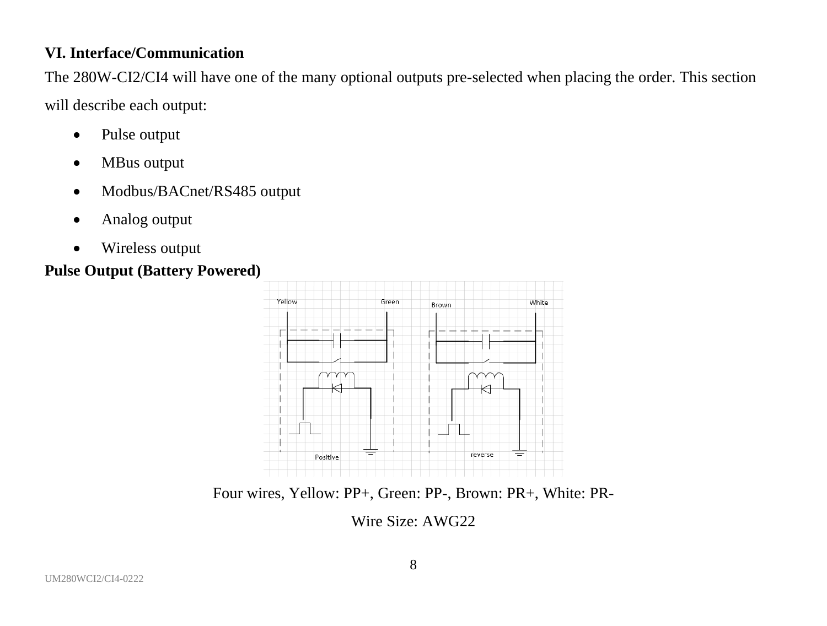# **VI. Interface/Communication**

The 280W-CI2/CI4 will have one of the many optional outputs pre-selected when placing the order. This section will describe each output:

- Pulse output
- MBus output
- Modbus/BACnet/RS485 output
- Analog output
- Wireless output

### **Pulse Output (Battery Powered)**



Four wires, Yellow: PP+, Green: PP-, Brown: PR+, White: PR-

Wire Size: AWG22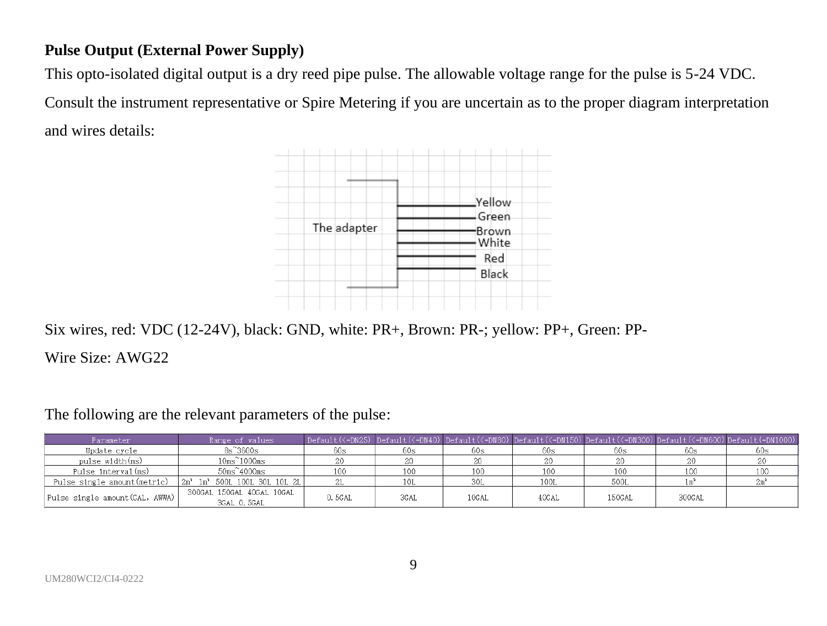# **Pulse Output (External Power Supply)**

This opto-isolated digital output is a dry reed pipe pulse. The allowable voltage range for the pulse is 5-24 VDC.

Consult the instrument representative or Spire Metering if you are uncertain as to the proper diagram interpretation and wires details:



Six wires, red: VDC (12-24V), black: GND, white: PR+, Brown: PR-; yellow: PP+, Green: PP-

Wire Size: AWG22

The following are the relevant parameters of the pulse:

| Parameter                                                                | Range of values                          |        |                 |       |       |        |        | Default(<=DN25) Default(<=DN40) Default(<=DN80) Default(<=DN150) Default(<=DN300) Default(<=DN600) Default(=DN1000) |
|--------------------------------------------------------------------------|------------------------------------------|--------|-----------------|-------|-------|--------|--------|---------------------------------------------------------------------------------------------------------------------|
| Update cycle                                                             | 8s~3600s                                 | 60s    | 60s             | 60s   | 60s   | 60s    | 60s    | 60s                                                                                                                 |
| pulse width(ms)                                                          | $10ms^21000ms$                           |        |                 |       |       |        | 20     |                                                                                                                     |
| Pulse interval(ms)                                                       | $50ms^24000ms$                           |        | 10 <sup>c</sup> | 100   | 100   | 100    | 100    |                                                                                                                     |
| Pulse single amount (metric) $2m^2$ 1m <sup>2</sup> 500L 100L 30L 10L 2L |                                          |        | 10L             | 30L   | 100L  | 500L   |        |                                                                                                                     |
| Pulse single amount (GAL, AWWA)                                          | 300GAL 150GAL 40GAL 10GAL<br>3GAL 0.5GAL | 0.5GAL | 3GAL            | 10GAL | 40GAL | 150GAL | 300GAL |                                                                                                                     |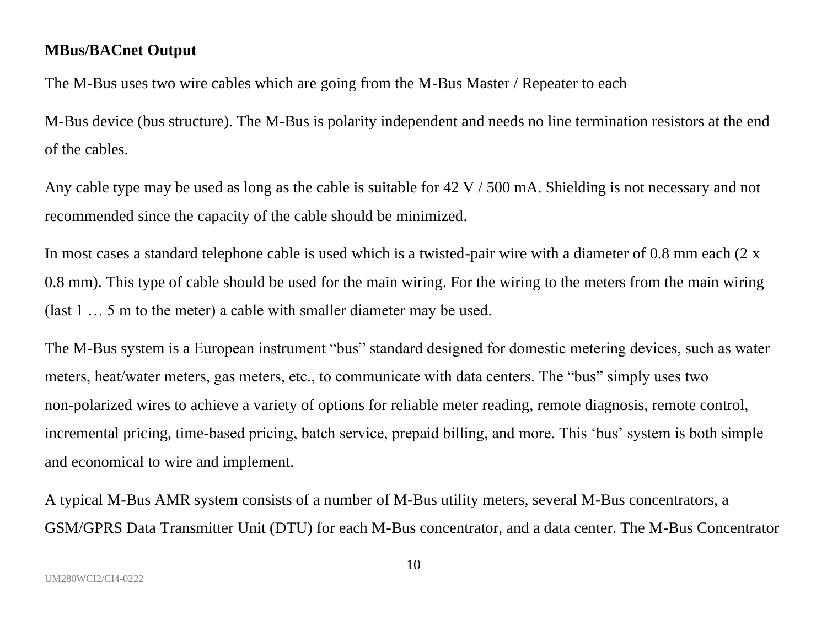#### **MBus/BACnet Output**

The M-Bus uses two wire cables which are going from the M-Bus Master / Repeater to each

M-Bus device (bus structure). The M-Bus is polarity independent and needs no line termination resistors at the end of the cables.

Any cable type may be used as long as the cable is suitable for  $42 \text{ V} / 500 \text{ mA}$ . Shielding is not necessary and not recommended since the capacity of the cable should be minimized.

In most cases a standard telephone cable is used which is a twisted-pair wire with a diameter of 0.8 mm each  $(2 \times$ 0.8 mm). This type of cable should be used for the main wiring. For the wiring to the meters from the main wiring (last 1 … 5 m to the meter) a cable with smaller diameter may be used.

The M-Bus system is a European instrument "bus" standard designed for domestic metering devices, such as water meters, heat/water meters, gas meters, etc., to communicate with data centers. The "bus" simply uses two non-polarized wires to achieve a variety of options for reliable meter reading, remote diagnosis, remote control, incremental pricing, time-based pricing, batch service, prepaid billing, and more. This 'bus' system is both simple and economical to wire and implement.

A typical M-Bus AMR system consists of a number of M-Bus utility meters, several M-Bus concentrators, a GSM/GPRS Data Transmitter Unit (DTU) for each M-Bus concentrator, and a data center. The M-Bus Concentrator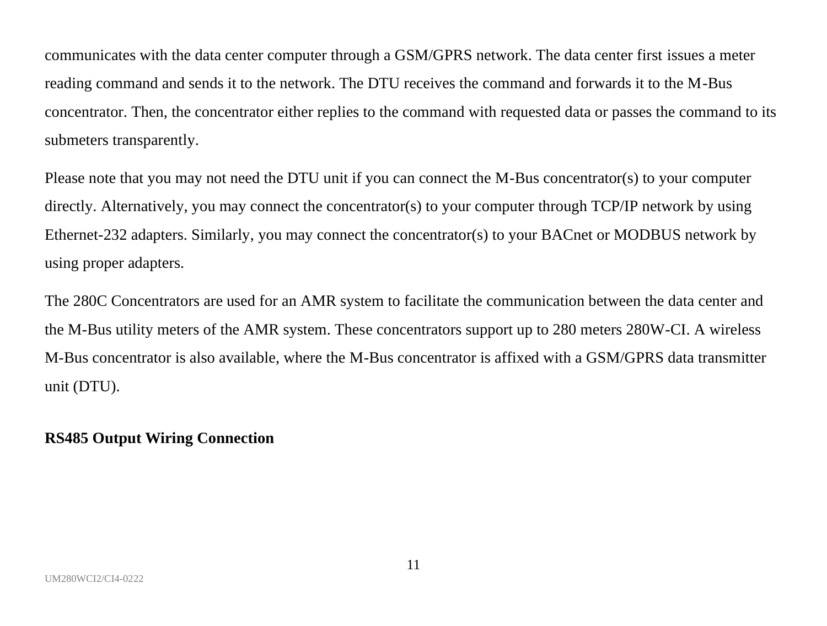communicates with the data center computer through a GSM/GPRS network. The data center first issues a meter reading command and sends it to the network. The DTU receives the command and forwards it to the M-Bus concentrator. Then, the concentrator either replies to the command with requested data or passes the command to its submeters transparently.

Please note that you may not need the DTU unit if you can connect the M-Bus concentrator(s) to your computer directly. Alternatively, you may connect the concentrator(s) to your computer through TCP/IP network by using Ethernet-232 adapters. Similarly, you may connect the concentrator(s) to your BACnet or MODBUS network by using proper adapters.

The 280C Concentrators are used for an AMR system to facilitate the communication between the data center and the M-Bus utility meters of the AMR system. These concentrators support up to 280 meters 280W-CI. A wireless M-Bus concentrator is also available, where the M-Bus concentrator is affixed with a GSM/GPRS data transmitter unit (DTU).

#### **RS485 Output Wiring Connection**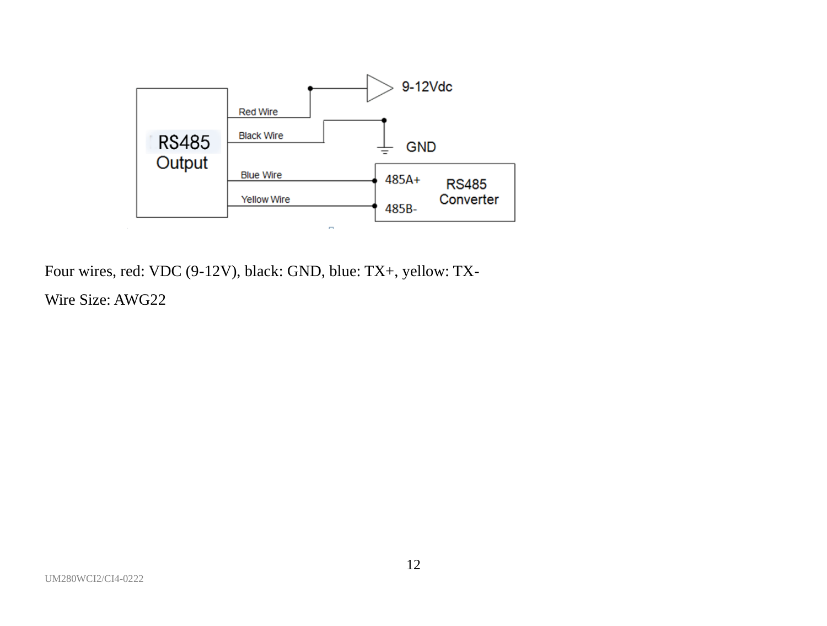

Four wires, red: VDC (9-12V), black: GND, blue: TX+, yellow: TX-

Wire Size: AWG22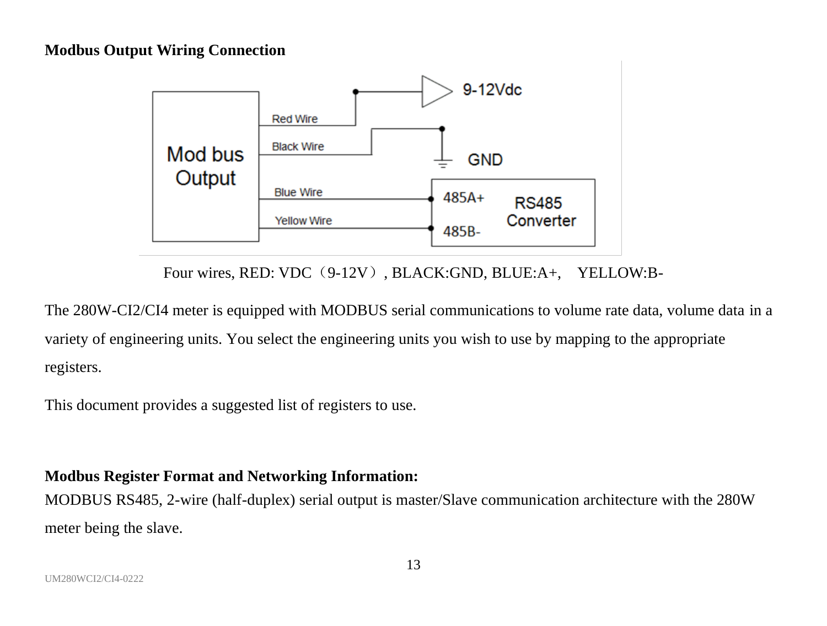#### **Modbus Output Wiring Connection**



Four wires, RED: VDC (9-12V), BLACK:GND, BLUE:A+, YELLOW:B-

The 280W-CI2/CI4 meter is equipped with MODBUS serial communications to volume rate data, volume data in a variety of engineering units. You select the engineering units you wish to use by mapping to the appropriate registers.

This document provides a suggested list of registers to use.

#### **Modbus Register Format and Networking Information:**

MODBUS RS485, 2-wire (half-duplex) serial output is master/Slave communication architecture with the 280W meter being the slave.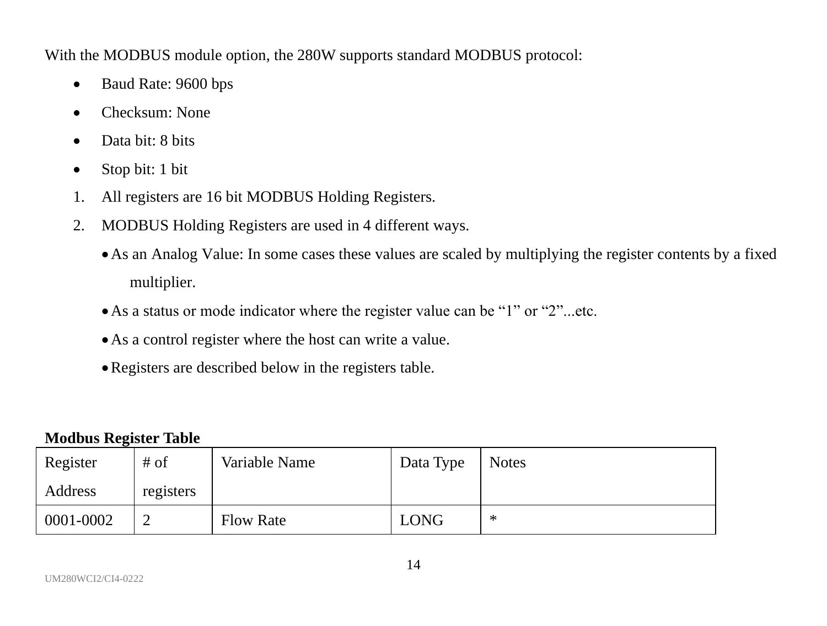With the MODBUS module option, the 280W supports standard MODBUS protocol:

- Baud Rate: 9600 bps
- Checksum: None
- Data bit: 8 bits
- Stop bit: 1 bit
- 1. All registers are 16 bit MODBUS Holding Registers.
- 2. MODBUS Holding Registers are used in 4 different ways.
	- •As an Analog Value: In some cases these values are scaled by multiplying the register contents by a fixed multiplier.
	- •As a status or mode indicator where the register value can be "1" or "2"...etc.
	- •As a control register where the host can write a value.
	- •Registers are described below in the registers table.

#### **Modbus Register Table**

| Register  | # of      | Variable Name    | Data Type   | <b>Notes</b> |
|-----------|-----------|------------------|-------------|--------------|
| Address   | registers |                  |             |              |
| 0001-0002 |           | <b>Flow Rate</b> | <b>LONG</b> | ∗            |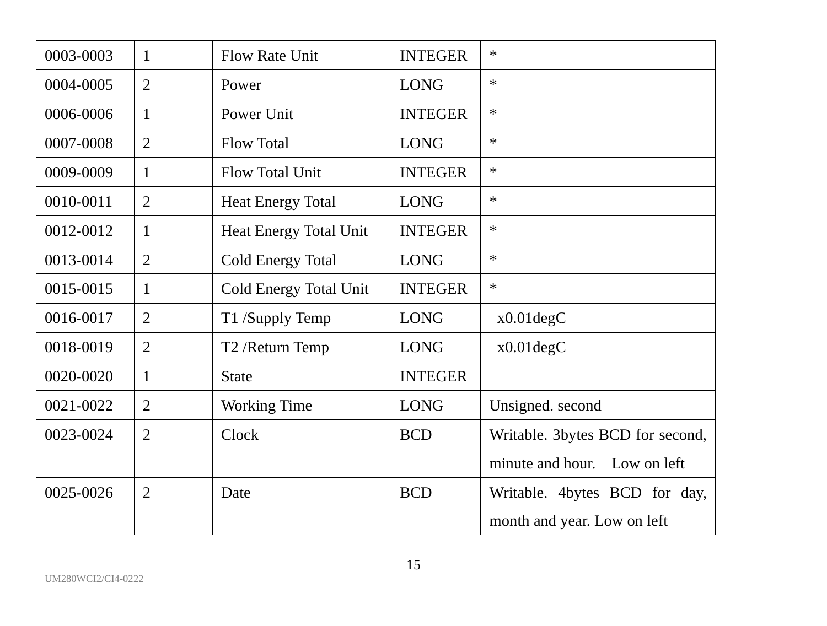| 0003-0003 | 1              | Flow Rate Unit           | <b>INTEGER</b> | *                                |
|-----------|----------------|--------------------------|----------------|----------------------------------|
| 0004-0005 | $\overline{c}$ | Power                    | <b>LONG</b>    | *                                |
| 0006-0006 | 1              | Power Unit               | <b>INTEGER</b> | *                                |
| 0007-0008 | 2              | <b>Flow Total</b>        | <b>LONG</b>    | $\ast$                           |
| 0009-0009 | 1              | Flow Total Unit          | <b>INTEGER</b> | *                                |
| 0010-0011 | $\overline{2}$ | <b>Heat Energy Total</b> | <b>LONG</b>    | $\ast$                           |
| 0012-0012 | 1              | Heat Energy Total Unit   | <b>INTEGER</b> | $\ast$                           |
| 0013-0014 | 2              | Cold Energy Total        | <b>LONG</b>    | *                                |
| 0015-0015 | 1              | Cold Energy Total Unit   | <b>INTEGER</b> | *                                |
| 0016-0017 | $\overline{2}$ | T1 /Supply Temp          | <b>LONG</b>    | $x0.01$ deg $C$                  |
| 0018-0019 | $\overline{2}$ | T2 /Return Temp          | <b>LONG</b>    | $x0.01$ deg $C$                  |
| 0020-0020 | 1              | <b>State</b>             | <b>INTEGER</b> |                                  |
| 0021-0022 | $\overline{2}$ | Working Time             | <b>LONG</b>    | Unsigned. second                 |
| 0023-0024 | 2              | Clock                    | <b>BCD</b>     | Writable. 3bytes BCD for second, |
|           |                |                          |                | minute and hour.<br>Low on left  |
| 0025-0026 | $\overline{2}$ | Date                     | <b>BCD</b>     | Writable. 4bytes BCD for day,    |
|           |                |                          |                | month and year. Low on left      |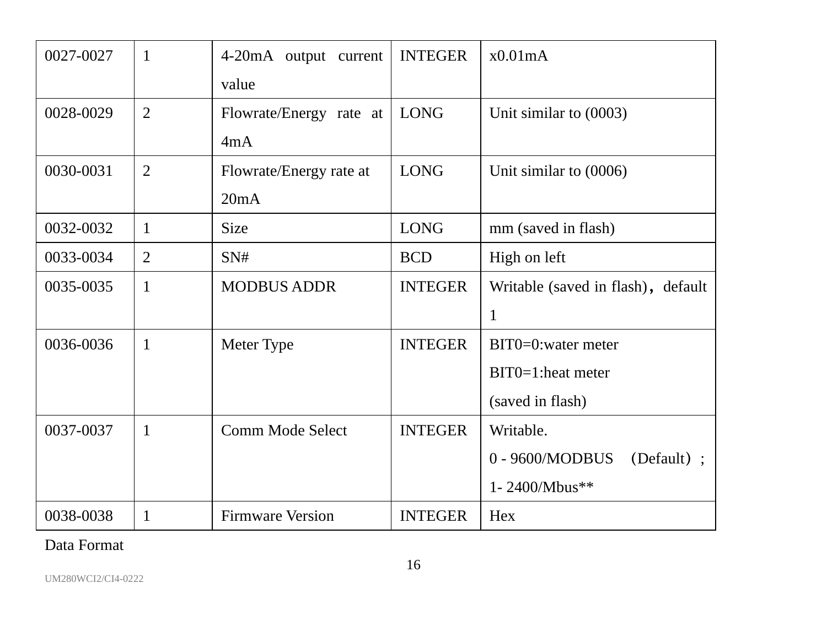| 0027-0027 | 1              | 4-20mA output current   | <b>INTEGER</b> | x0.01mA                            |
|-----------|----------------|-------------------------|----------------|------------------------------------|
|           |                | value                   |                |                                    |
| 0028-0029 | $\overline{2}$ | Flowrate/Energy rate at | <b>LONG</b>    | Unit similar to (0003)             |
|           |                | 4mA                     |                |                                    |
| 0030-0031 | $\overline{2}$ | Flowrate/Energy rate at | <b>LONG</b>    | Unit similar to $(0006)$           |
|           |                | 20mA                    |                |                                    |
| 0032-0032 | 1              | Size                    | <b>LONG</b>    | mm (saved in flash)                |
| 0033-0034 | 2              | SN#                     | <b>BCD</b>     | High on left                       |
| 0035-0035 | 1              | <b>MODBUS ADDR</b>      | <b>INTEGER</b> | Writable (saved in flash), default |
|           |                |                         |                | 1                                  |
| 0036-0036 | 1              | Meter Type              | <b>INTEGER</b> | $BIT0=0$ : water meter             |
|           |                |                         |                | $BIT0=1$ : heat meter              |
|           |                |                         |                | (saved in flash)                   |
| 0037-0037 | 1              | Comm Mode Select        | <b>INTEGER</b> | Writable.                          |
|           |                |                         |                | 0 - 9600/MODBUS<br>(Default) ;     |
|           |                |                         |                | 1-2400/Mbus**                      |
| 0038-0038 | 1              | <b>Firmware Version</b> | <b>INTEGER</b> | Hex                                |

Data Format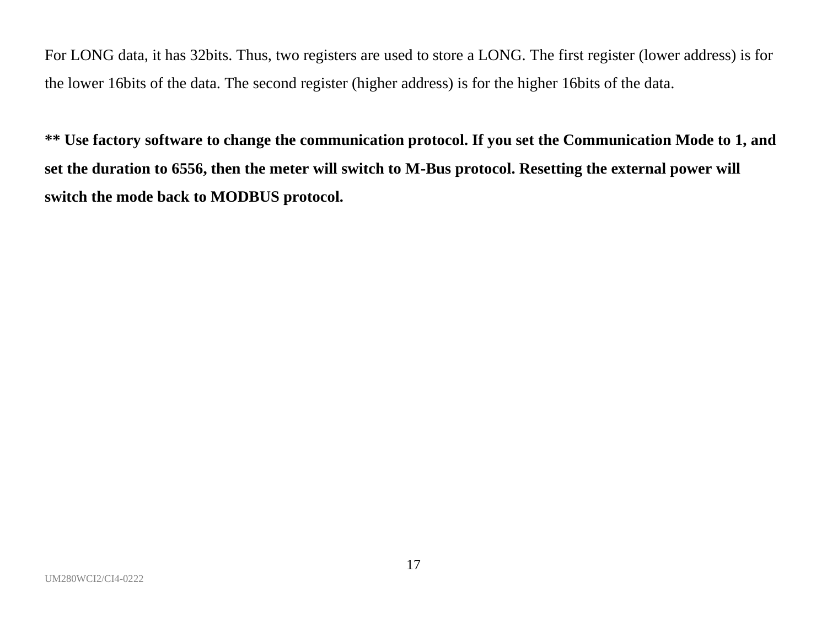For LONG data, it has 32bits. Thus, two registers are used to store a LONG. The first register (lower address) is for the lower 16bits of the data. The second register (higher address) is for the higher 16bits of the data.

**\*\* Use factory software to change the communication protocol. If you set the Communication Mode to 1, and set the duration to 6556, then the meter will switch to M-Bus protocol. Resetting the external power will switch the mode back to MODBUS protocol.**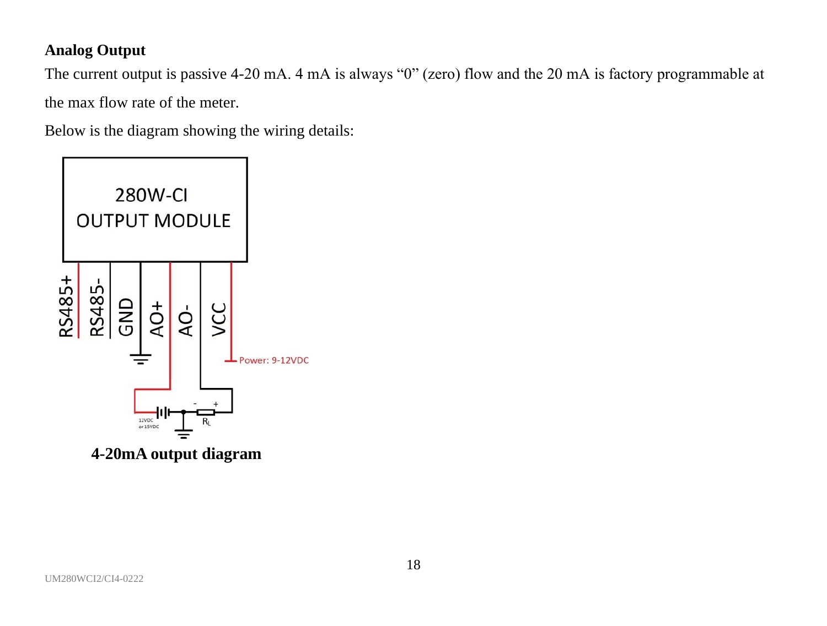# **Analog Output**

The current output is passive 4-20 mA. 4 mA is always "0" (zero) flow and the 20 mA is factory programmable at the max flow rate of the meter.

Below is the diagram showing the wiring details:

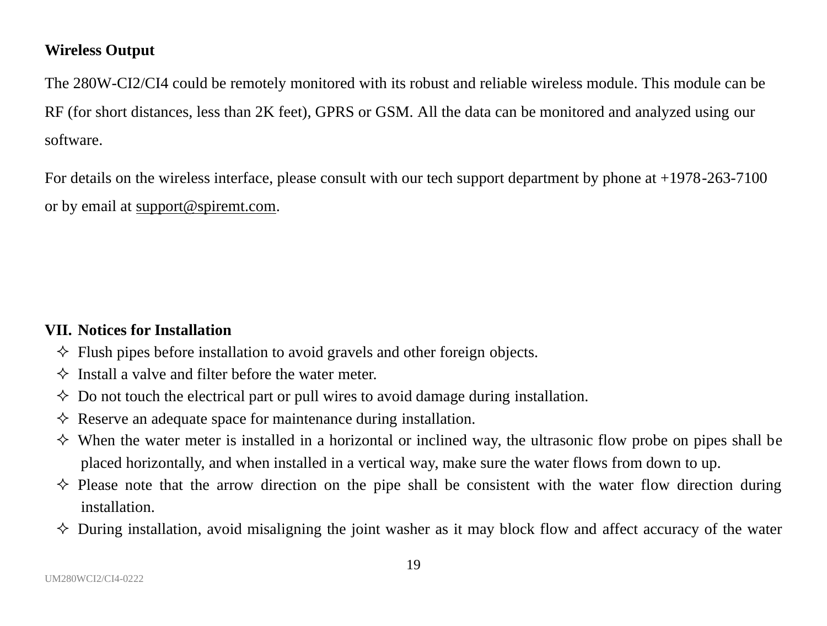#### **Wireless Output**

The 280W-CI2/CI4 could be remotely monitored with its robust and reliable wireless module. This module can be RF (for short distances, less than 2K feet), GPRS or GSM. All the data can be monitored and analyzed using our software.

For details on the wireless interface, please consult with our tech support department by phone at +1978-263-7100 or by email at [support@spiremt.com.](mailto:support@spiremt.com)

# **VII. Notices for Installation**

- $\Diamond$  Flush pipes before installation to avoid gravels and other foreign objects.
- $\Diamond$  Install a valve and filter before the water meter.
- $\Diamond$  Do not touch the electrical part or pull wires to avoid damage during installation.
- $\Diamond$  Reserve an adequate space for maintenance during installation.
- $\diamond$  When the water meter is installed in a horizontal or inclined way, the ultrasonic flow probe on pipes shall be placed horizontally, and when installed in a vertical way, make sure the water flows from down to up.
- $\diamond$  Please note that the arrow direction on the pipe shall be consistent with the water flow direction during installation.
- $\diamond$  During installation, avoid misaligning the joint washer as it may block flow and affect accuracy of the water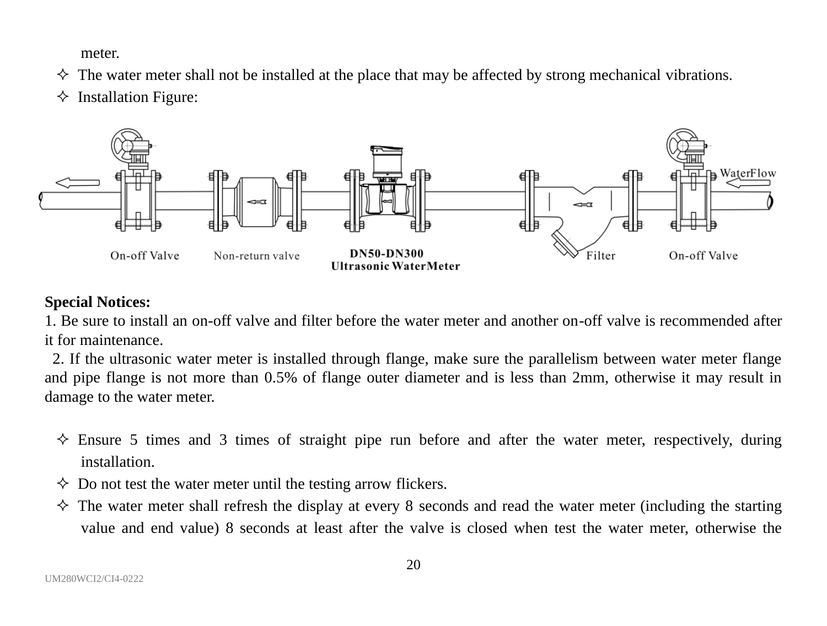meter.

- $\Diamond$  The water meter shall not be installed at the place that may be affected by strong mechanical vibrations.
- $\Diamond$  Installation Figure:



#### **Special Notices:**

1. Be sure to install an on-off valve and filter before the water meter and another on-off valve is recommended after it for maintenance.

2. If the ultrasonic water meter is installed through flange, make sure the parallelism between water meter flange and pipe flange is not more than 0.5% of flange outer diameter and is less than 2mm, otherwise it may result in damage to the water meter.

- $\Diamond$  Ensure 5 times and 3 times of straight pipe run before and after the water meter, respectively, during installation.
- $\Diamond$  Do not test the water meter until the testing arrow flickers.
- $\Diamond$  The water meter shall refresh the display at every 8 seconds and read the water meter (including the starting value and end value) 8 seconds at least after the valve is closed when test the water meter, otherwise the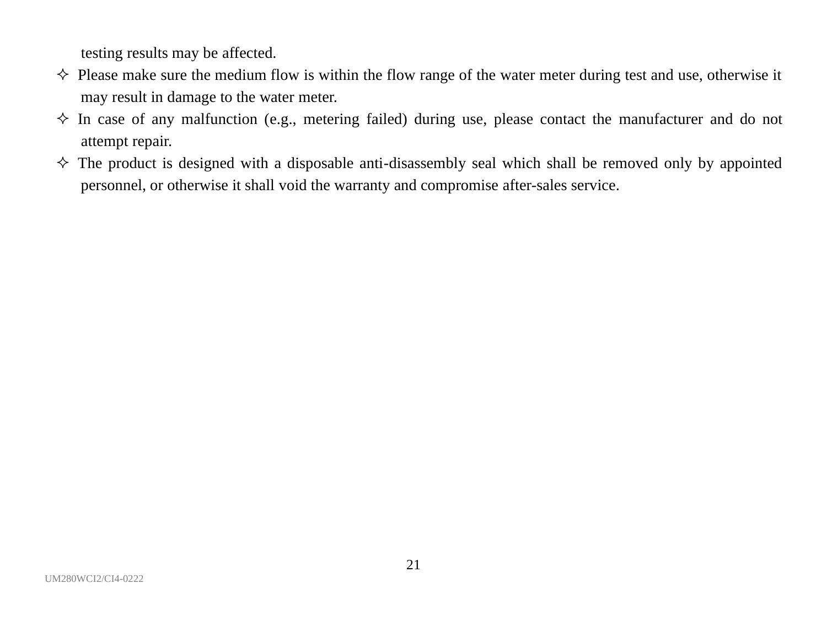testing results may be affected.

- $\diamond$  Please make sure the medium flow is within the flow range of the water meter during test and use, otherwise it may result in damage to the water meter.
- $\Diamond$  In case of any malfunction (e.g., metering failed) during use, please contact the manufacturer and do not attempt repair.
- $\Diamond$  The product is designed with a disposable anti-disassembly seal which shall be removed only by appointed personnel, or otherwise it shall void the warranty and compromise after-sales service.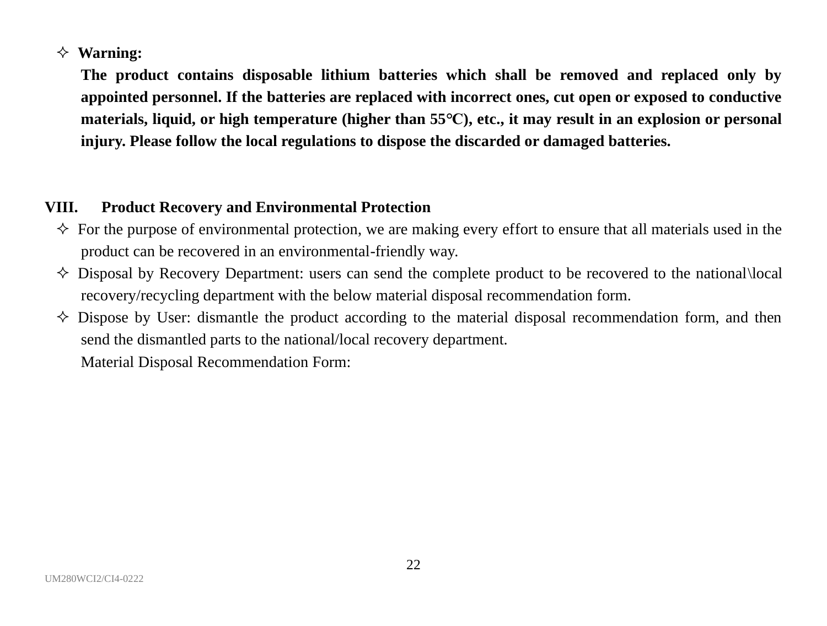#### **Warning:**

**The product contains disposable lithium batteries which shall be removed and replaced only by appointed personnel. If the batteries are replaced with incorrect ones, cut open or exposed to conductive materials, liquid, or high temperature (higher than 55℃), etc., it may result in an explosion or personal injury. Please follow the local regulations to dispose the discarded or damaged batteries.**

### **VIII. Product Recovery and Environmental Protection**

- $\Diamond$  For the purpose of environmental protection, we are making every effort to ensure that all materials used in the product can be recovered in an environmental-friendly way.
- $\Diamond$  Disposal by Recovery Department: users can send the complete product to be recovered to the national\local recovery/recycling department with the below material disposal recommendation form.
- $\diamond$  Dispose by User: dismantle the product according to the material disposal recommendation form, and then send the dismantled parts to the national/local recovery department. Material Disposal Recommendation Form: